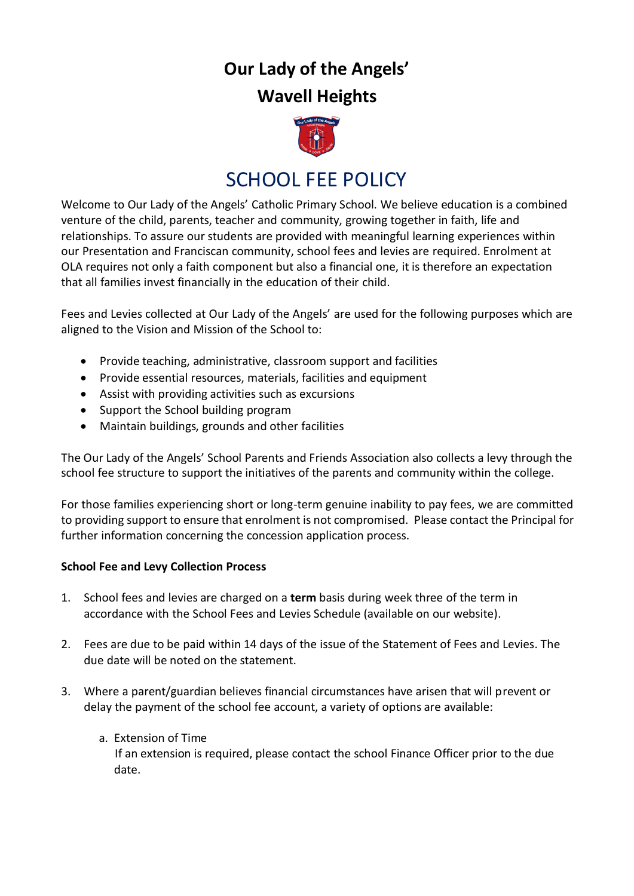# **Our Lady of the Angels'**

### **Wavell Heights**



## SCHOOL FEE POLICY

Welcome to Our Lady of the Angels' Catholic Primary School. We believe education is a combined venture of the child, parents, teacher and community, growing together in faith, life and relationships. To assure our students are provided with meaningful learning experiences within our Presentation and Franciscan community, school fees and levies are required. Enrolment at OLA requires not only a faith component but also a financial one, it is therefore an expectation that all families invest financially in the education of their child.

Fees and Levies collected at Our Lady of the Angels' are used for the following purposes which are aligned to the Vision and Mission of the School to:

- Provide teaching, administrative, classroom support and facilities
- Provide essential resources, materials, facilities and equipment
- Assist with providing activities such as excursions
- Support the School building program
- Maintain buildings, grounds and other facilities

The Our Lady of the Angels' School Parents and Friends Association also collects a levy through the school fee structure to support the initiatives of the parents and community within the college.

For those families experiencing short or long-term genuine inability to pay fees, we are committed to providing support to ensure that enrolment is not compromised. Please contact the Principal for further information concerning the concession application process.

#### **School Fee and Levy Collection Process**

- 1. School fees and levies are charged on a **term** basis during week three of the term in accordance with the School Fees and Levies Schedule (available on our website).
- 2. Fees are due to be paid within 14 days of the issue of the Statement of Fees and Levies. The due date will be noted on the statement.
- 3. Where a parent/guardian believes financial circumstances have arisen that will prevent or delay the payment of the school fee account, a variety of options are available:
	- a. Extension of Time

 If an extension is required, please contact the school Finance Officer prior to the due date.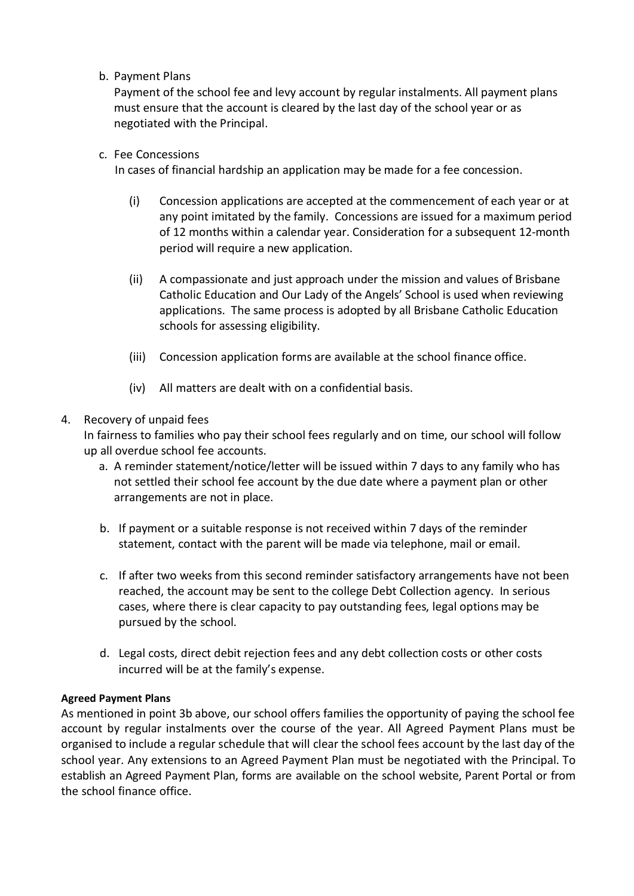b. Payment Plans

Payment of the school fee and levy account by regular instalments. All payment plans must ensure that the account is cleared by the last day of the school year or as negotiated with the Principal.

c. Fee Concessions

In cases of financial hardship an application may be made for a fee concession.

- (i) Concession applications are accepted at the commencement of each year or at any point imitated by the family. Concessions are issued for a maximum period of 12 months within a calendar year. Consideration for a subsequent 12-month period will require a new application.
- (ii) A compassionate and just approach under the mission and values of Brisbane Catholic Education and Our Lady of the Angels' School is used when reviewing applications. The same process is adopted by all Brisbane Catholic Education schools for assessing eligibility.
- (iii) Concession application forms are available at the school finance office.
- (iv) All matters are dealt with on a confidential basis.

#### 4. Recovery of unpaid fees

In fairness to families who pay their school fees regularly and on time, our school will follow up all overdue school fee accounts.

- a. A reminder statement/notice/letter will be issued within 7 days to any family who has not settled their school fee account by the due date where a payment plan or other arrangements are not in place.
- b. If payment or a suitable response is not received within 7 days of the reminder statement, contact with the parent will be made via telephone, mail or email.
- c. If after two weeks from this second reminder satisfactory arrangements have not been reached, the account may be sent to the college Debt Collection agency. In serious cases, where there is clear capacity to pay outstanding fees, legal options may be pursued by the school.
- d. Legal costs, direct debit rejection fees and any debt collection costs or other costs incurred will be at the family's expense.

#### **Agreed Payment Plans**

As mentioned in point 3b above, our school offers families the opportunity of paying the school fee account by regular instalments over the course of the year. All Agreed Payment Plans must be organised to include a regular schedule that will clear the school fees account by the last day of the school year. Any extensions to an Agreed Payment Plan must be negotiated with the Principal. To establish an Agreed Payment Plan, forms are available on the school website, Parent Portal or from the school finance office.